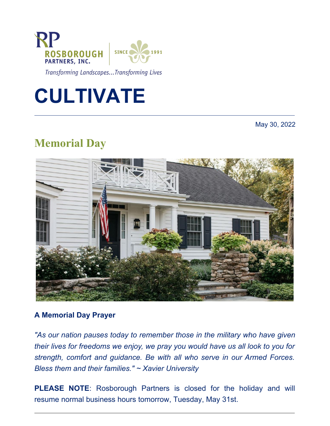

Transforming Landscapes...Transforming Lives

# **CULTIVATE**

May 30, 2022

## **Memorial Day**



#### **A Memorial Day Prayer**

*"As our nation pauses today to remember those in the military who have given their lives for freedoms we enjoy, we pray you would have us all look to you for strength, comfort and guidance. Be with all who serve in our Armed Forces. Bless them and their families." ~ Xavier University*

**PLEASE NOTE**: Rosborough Partners is closed for the holiday and will resume normal business hours tomorrow, Tuesday, May 31st.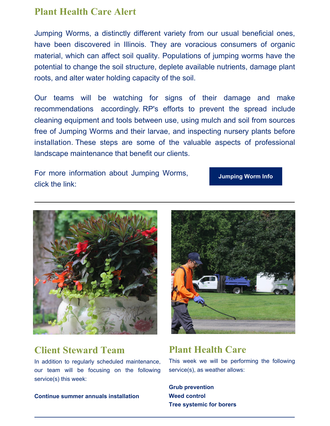### **Plant Health Care Alert**

Jumping Worms, a distinctly different variety from our usual beneficial ones, have been discovered in Illinois. They are voracious consumers of organic material, which can affect soil quality. Populations of jumping worms have the potential to change the soil structure, deplete available nutrients, damage plant roots, and alter water holding capacity of the soil.

Our teams will be watching for signs of their damage and make recommendations accordingly. RP's efforts to prevent the spread include cleaning equipment and tools between use, using mulch and soil from sources free of Jumping Worms and their larvae, and inspecting nursery plants before installation. These steps are some of the valuable aspects of professional landscape maintenance that benefit our clients.

For more information about Jumping Worms, click the link:

**[Jumping](https://extension.illinois.edu/sites/default/files/invasive_species_alert_jumping_worms.pdf) Worm Info**



## **Client Steward Team**

In addition to regularly scheduled maintenance, our team will be focusing on the following service(s) this week:

**Continue summer annuals installation**



## **Plant Health Care**

This week we will be performing the following service(s), as weather allows:

**Grub prevention Weed control Tree systemic for borers**